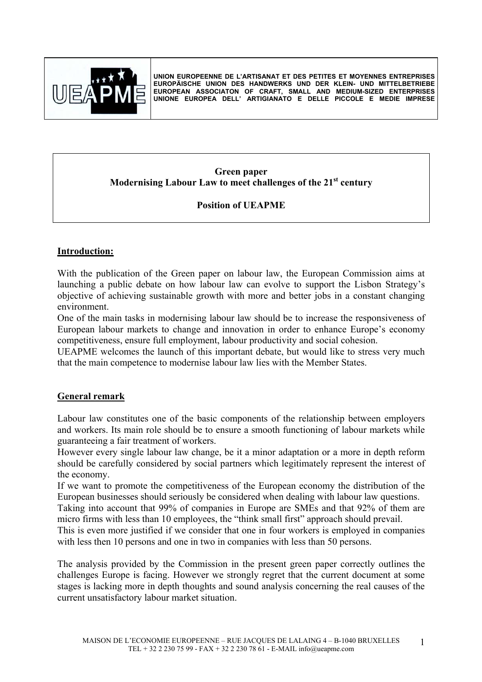

**UNION EUROPEENNE DE L'ARTISANAT ET DES PETITES ET MOYENNES ENTREPRISES EUROPÄISCHE UNION DES HANDWERKS UND DER KLEIN- UND MITTELBETRIEBE EUROPEAN ASSOCIATON OF CRAFT, SMALL AND MEDIUM-SIZED ENTERPRISES UNIONE EUROPEA DELL' ARTIGIANATO E DELLE PICCOLE E MEDIE IMPRESE**

#### **Green paper Modernising Labour Law to meet challenges of the 21st century**

# **Position of UEAPME**

## **Introduction:**

With the publication of the Green paper on labour law, the European Commission aims at launching a public debate on how labour law can evolve to support the Lisbon Strategy's objective of achieving sustainable growth with more and better jobs in a constant changing environment.

One of the main tasks in modernising labour law should be to increase the responsiveness of European labour markets to change and innovation in order to enhance Europe's economy competitiveness, ensure full employment, labour productivity and social cohesion.

UEAPME welcomes the launch of this important debate, but would like to stress very much that the main competence to modernise labour law lies with the Member States.

#### **General remark**

Labour law constitutes one of the basic components of the relationship between employers and workers. Its main role should be to ensure a smooth functioning of labour markets while guaranteeing a fair treatment of workers.

However every single labour law change, be it a minor adaptation or a more in depth reform should be carefully considered by social partners which legitimately represent the interest of the economy.

If we want to promote the competitiveness of the European economy the distribution of the European businesses should seriously be considered when dealing with labour law questions.

Taking into account that 99% of companies in Europe are SMEs and that 92% of them are micro firms with less than 10 employees, the "think small first" approach should prevail.

This is even more justified if we consider that one in four workers is employed in companies with less then 10 persons and one in two in companies with less than 50 persons.

The analysis provided by the Commission in the present green paper correctly outlines the challenges Europe is facing. However we strongly regret that the current document at some stages is lacking more in depth thoughts and sound analysis concerning the real causes of the current unsatisfactory labour market situation.

1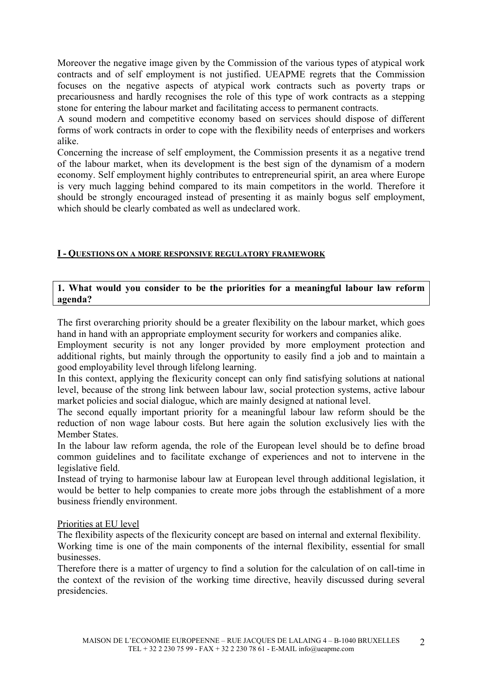Moreover the negative image given by the Commission of the various types of atypical work contracts and of self employment is not justified. UEAPME regrets that the Commission focuses on the negative aspects of atypical work contracts such as poverty traps or precariousness and hardly recognises the role of this type of work contracts as a stepping stone for entering the labour market and facilitating access to permanent contracts.

A sound modern and competitive economy based on services should dispose of different forms of work contracts in order to cope with the flexibility needs of enterprises and workers alike.

Concerning the increase of self employment, the Commission presents it as a negative trend of the labour market, when its development is the best sign of the dynamism of a modern economy. Self employment highly contributes to entrepreneurial spirit, an area where Europe is very much lagging behind compared to its main competitors in the world. Therefore it should be strongly encouraged instead of presenting it as mainly bogus self employment, which should be clearly combated as well as undeclared work.

## **I - QUESTIONS ON A MORE RESPONSIVE REGULATORY FRAMEWORK**

## **1. What would you consider to be the priorities for a meaningful labour law reform agenda?**

The first overarching priority should be a greater flexibility on the labour market, which goes hand in hand with an appropriate employment security for workers and companies alike.

Employment security is not any longer provided by more employment protection and additional rights, but mainly through the opportunity to easily find a job and to maintain a good employability level through lifelong learning.

In this context, applying the flexicurity concept can only find satisfying solutions at national level, because of the strong link between labour law, social protection systems, active labour market policies and social dialogue, which are mainly designed at national level.

The second equally important priority for a meaningful labour law reform should be the reduction of non wage labour costs. But here again the solution exclusively lies with the Member States.

In the labour law reform agenda, the role of the European level should be to define broad common guidelines and to facilitate exchange of experiences and not to intervene in the legislative field.

Instead of trying to harmonise labour law at European level through additional legislation, it would be better to help companies to create more jobs through the establishment of a more business friendly environment.

#### Priorities at EU level

The flexibility aspects of the flexicurity concept are based on internal and external flexibility.

Working time is one of the main components of the internal flexibility, essential for small businesses.

Therefore there is a matter of urgency to find a solution for the calculation of on call-time in the context of the revision of the working time directive, heavily discussed during several presidencies.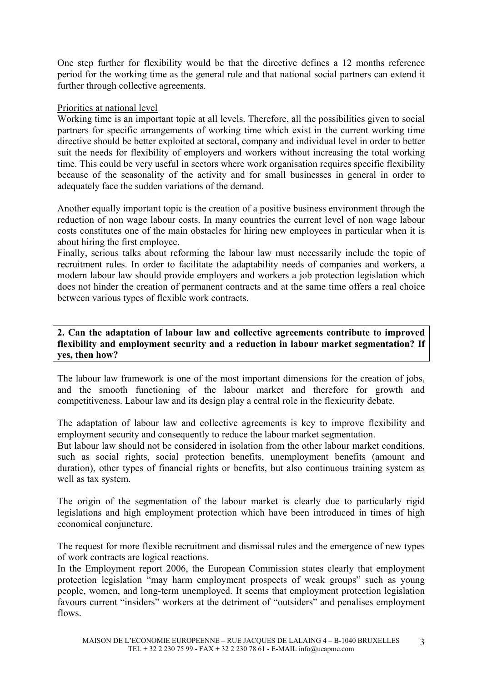One step further for flexibility would be that the directive defines a 12 months reference period for the working time as the general rule and that national social partners can extend it further through collective agreements.

## Priorities at national level

Working time is an important topic at all levels. Therefore, all the possibilities given to social partners for specific arrangements of working time which exist in the current working time directive should be better exploited at sectoral, company and individual level in order to better suit the needs for flexibility of employers and workers without increasing the total working time. This could be very useful in sectors where work organisation requires specific flexibility because of the seasonality of the activity and for small businesses in general in order to adequately face the sudden variations of the demand.

Another equally important topic is the creation of a positive business environment through the reduction of non wage labour costs. In many countries the current level of non wage labour costs constitutes one of the main obstacles for hiring new employees in particular when it is about hiring the first employee.

Finally, serious talks about reforming the labour law must necessarily include the topic of recruitment rules. In order to facilitate the adaptability needs of companies and workers, a modern labour law should provide employers and workers a job protection legislation which does not hinder the creation of permanent contracts and at the same time offers a real choice between various types of flexible work contracts.

**2. Can the adaptation of labour law and collective agreements contribute to improved flexibility and employment security and a reduction in labour market segmentation? If yes, then how?** 

The labour law framework is one of the most important dimensions for the creation of jobs, and the smooth functioning of the labour market and therefore for growth and competitiveness. Labour law and its design play a central role in the flexicurity debate.

The adaptation of labour law and collective agreements is key to improve flexibility and employment security and consequently to reduce the labour market segmentation.

But labour law should not be considered in isolation from the other labour market conditions, such as social rights, social protection benefits, unemployment benefits (amount and duration), other types of financial rights or benefits, but also continuous training system as well as tax system.

The origin of the segmentation of the labour market is clearly due to particularly rigid legislations and high employment protection which have been introduced in times of high economical conjuncture.

The request for more flexible recruitment and dismissal rules and the emergence of new types of work contracts are logical reactions.

In the Employment report 2006, the European Commission states clearly that employment protection legislation "may harm employment prospects of weak groups" such as young people, women, and long-term unemployed. It seems that employment protection legislation favours current "insiders" workers at the detriment of "outsiders" and penalises employment flows.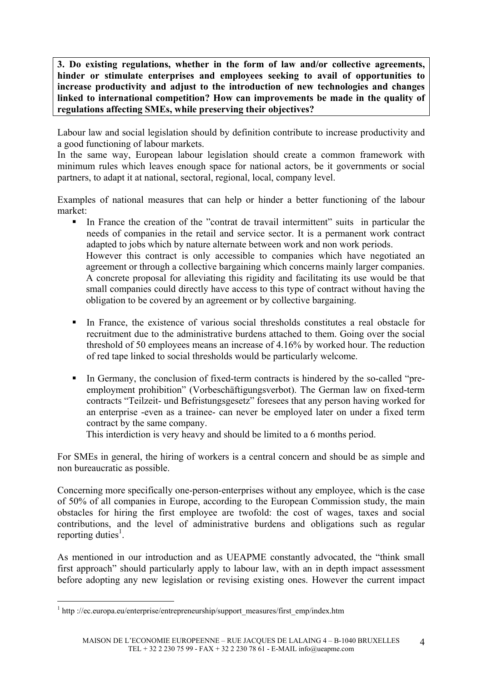**3. Do existing regulations, whether in the form of law and/or collective agreements, hinder or stimulate enterprises and employees seeking to avail of opportunities to increase productivity and adjust to the introduction of new technologies and changes linked to international competition? How can improvements be made in the quality of regulations affecting SMEs, while preserving their objectives?** 

Labour law and social legislation should by definition contribute to increase productivity and a good functioning of labour markets.

In the same way, European labour legislation should create a common framework with minimum rules which leaves enough space for national actors, be it governments or social partners, to adapt it at national, sectoral, regional, local, company level.

Examples of national measures that can help or hinder a better functioning of the labour market:

In France the creation of the "contrat de travail intermittent" suits in particular the needs of companies in the retail and service sector. It is a permanent work contract adapted to jobs which by nature alternate between work and non work periods. However this contract is only accessible to companies which have negotiated an agreement or through a collective bargaining which concerns mainly larger companies.

A concrete proposal for alleviating this rigidity and facilitating its use would be that small companies could directly have access to this type of contract without having the obligation to be covered by an agreement or by collective bargaining.

- In France, the existence of various social thresholds constitutes a real obstacle for recruitment due to the administrative burdens attached to them. Going over the social threshold of 50 employees means an increase of 4.16% by worked hour. The reduction of red tape linked to social thresholds would be particularly welcome.
- In Germany, the conclusion of fixed-term contracts is hindered by the so-called "preemployment prohibition" (Vorbeschäftigungsverbot). The German law on fixed-term contracts "Teilzeit- und Befristungsgesetz" foresees that any person having worked for an enterprise -even as a trainee- can never be employed later on under a fixed term contract by the same company.

This interdiction is very heavy and should be limited to a 6 months period.

For SMEs in general, the hiring of workers is a central concern and should be as simple and non bureaucratic as possible.

Concerning more specifically one-person-enterprises without any employee, which is the case of 50% of all companies in Europe, according to the European Commission study, the main obstacles for hiring the first employee are twofold: the cost of wages, taxes and social contributions, and the level of administrative burdens and obligations such as regular reporting duties<sup>1</sup>.

As mentioned in our introduction and as UEAPME constantly advocated, the "think small first approach" should particularly apply to labour law, with an in depth impact assessment before adopting any new legislation or revising existing ones. However the current impact

1

<sup>&</sup>lt;sup>1</sup> http://ec.europa.eu/enterprise/entrepreneurship/support\_measures/first\_emp/index.htm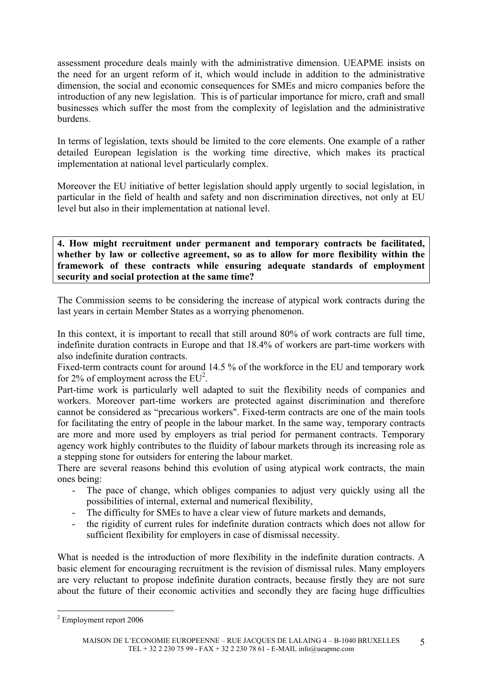assessment procedure deals mainly with the administrative dimension. UEAPME insists on the need for an urgent reform of it, which would include in addition to the administrative dimension, the social and economic consequences for SMEs and micro companies before the introduction of any new legislation. This is of particular importance for micro, craft and small businesses which suffer the most from the complexity of legislation and the administrative burdens.

In terms of legislation, texts should be limited to the core elements. One example of a rather detailed European legislation is the working time directive, which makes its practical implementation at national level particularly complex.

Moreover the EU initiative of better legislation should apply urgently to social legislation, in particular in the field of health and safety and non discrimination directives, not only at EU level but also in their implementation at national level.

**4. How might recruitment under permanent and temporary contracts be facilitated, whether by law or collective agreement, so as to allow for more flexibility within the framework of these contracts while ensuring adequate standards of employment security and social protection at the same time?** 

The Commission seems to be considering the increase of atypical work contracts during the last years in certain Member States as a worrying phenomenon.

In this context, it is important to recall that still around 80% of work contracts are full time, indefinite duration contracts in Europe and that 18.4% of workers are part-time workers with also indefinite duration contracts.

Fixed-term contracts count for around 14.5 % of the workforce in the EU and temporary work for 2% of employment across the  $EU^2$ .

Part-time work is particularly well adapted to suit the flexibility needs of companies and workers. Moreover part-time workers are protected against discrimination and therefore cannot be considered as "precarious workers". Fixed-term contracts are one of the main tools for facilitating the entry of people in the labour market. In the same way, temporary contracts are more and more used by employers as trial period for permanent contracts. Temporary agency work highly contributes to the fluidity of labour markets through its increasing role as a stepping stone for outsiders for entering the labour market.

There are several reasons behind this evolution of using atypical work contracts, the main ones being:

- The pace of change, which obliges companies to adjust very quickly using all the possibilities of internal, external and numerical flexibility,
- The difficulty for SMEs to have a clear view of future markets and demands,
- the rigidity of current rules for indefinite duration contracts which does not allow for sufficient flexibility for employers in case of dismissal necessity.

What is needed is the introduction of more flexibility in the indefinite duration contracts. A basic element for encouraging recruitment is the revision of dismissal rules. Many employers are very reluctant to propose indefinite duration contracts, because firstly they are not sure about the future of their economic activities and secondly they are facing huge difficulties

1

 $2$  Employment report 2006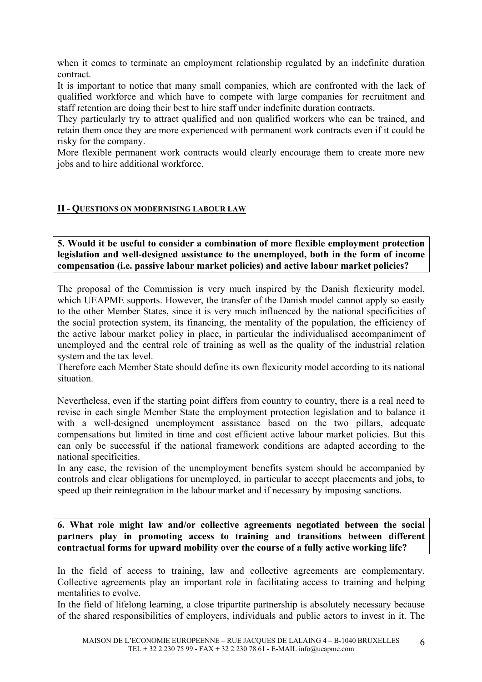when it comes to terminate an employment relationship regulated by an indefinite duration contract.

It is important to notice that many small companies, which are confronted with the lack of qualified workforce and which have to compete with large companies for recruitment and staff retention are doing their best to hire staff under indefinite duration contracts.

They particularly try to attract qualified and non qualified workers who can be trained, and retain them once they are more experienced with permanent work contracts even if it could be risky for the company.

More flexible permanent work contracts would clearly encourage them to create more new jobs and to hire additional workforce.

#### **II - QUESTIONS ON MODERNISING LABOUR LAW**

**5. Would it be useful to consider a combination of more flexible employment protection legislation and well-designed assistance to the unemployed, both in the form of income compensation (i.e. passive labour market policies) and active labour market policies?** 

The proposal of the Commission is very much inspired by the Danish flexicurity model, which UEAPME supports. However, the transfer of the Danish model cannot apply so easily to the other Member States, since it is very much influenced by the national specificities of the social protection system, its financing, the mentality of the population, the efficiency of the active labour market policy in place, in particular the individualised accompaniment of unemployed and the central role of training as well as the quality of the industrial relation system and the tax level.

Therefore each Member State should define its own flexicurity model according to its national situation.

Nevertheless, even if the starting point differs from country to country, there is a real need to revise in each single Member State the employment protection legislation and to balance it with a well-designed unemployment assistance based on the two pillars, adequate compensations but limited in time and cost efficient active labour market policies. But this can only be successful if the national framework conditions are adapted according to the national specificities.

In any case, the revision of the unemployment benefits system should be accompanied by controls and clear obligations for unemployed, in particular to accept placements and jobs, to speed up their reintegration in the labour market and if necessary by imposing sanctions.

**6. What role might law and/or collective agreements negotiated between the social partners play in promoting access to training and transitions between different contractual forms for upward mobility over the course of a fully active working life?** 

In the field of access to training, law and collective agreements are complementary. Collective agreements play an important role in facilitating access to training and helping mentalities to evolve.

In the field of lifelong learning, a close tripartite partnership is absolutely necessary because of the shared responsibilities of employers, individuals and public actors to invest in it. The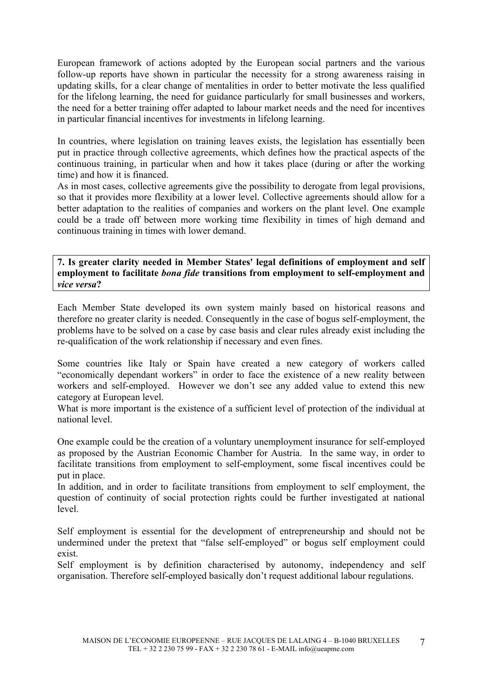European framework of actions adopted by the European social partners and the various follow-up reports have shown in particular the necessity for a strong awareness raising in updating skills, for a clear change of mentalities in order to better motivate the less qualified for the lifelong learning, the need for guidance particularly for small businesses and workers, the need for a better training offer adapted to labour market needs and the need for incentives in particular financial incentives for investments in lifelong learning.

In countries, where legislation on training leaves exists, the legislation has essentially been put in practice through collective agreements, which defines how the practical aspects of the continuous training, in particular when and how it takes place (during or after the working time) and how it is financed.

As in most cases, collective agreements give the possibility to derogate from legal provisions, so that it provides more flexibility at a lower level. Collective agreements should allow for a better adaptation to the realities of companies and workers on the plant level. One example could be a trade off between more working time flexibility in times of high demand and continuous training in times with lower demand.

**7. Is greater clarity needed in Member States' legal definitions of employment and self employment to facilitate** *bona fide* **transitions from employment to self-employment and**  *vice versa***?** 

Each Member State developed its own system mainly based on historical reasons and therefore no greater clarity is needed. Consequently in the case of bogus self-employment, the problems have to be solved on a case by case basis and clear rules already exist including the re-qualification of the work relationship if necessary and even fines.

Some countries like Italy or Spain have created a new category of workers called "economically dependant workers" in order to face the existence of a new reality between workers and self-employed. However we don't see any added value to extend this new category at European level.

What is more important is the existence of a sufficient level of protection of the individual at national level.

One example could be the creation of a voluntary unemployment insurance for self-employed as proposed by the Austrian Economic Chamber for Austria. In the same way, in order to facilitate transitions from employment to self-employment, some fiscal incentives could be put in place.

In addition, and in order to facilitate transitions from employment to self employment, the question of continuity of social protection rights could be further investigated at national level.

Self employment is essential for the development of entrepreneurship and should not be undermined under the pretext that "false self-employed" or bogus self employment could exist.

Self employment is by definition characterised by autonomy, independency and self organisation. Therefore self-employed basically don't request additional labour regulations.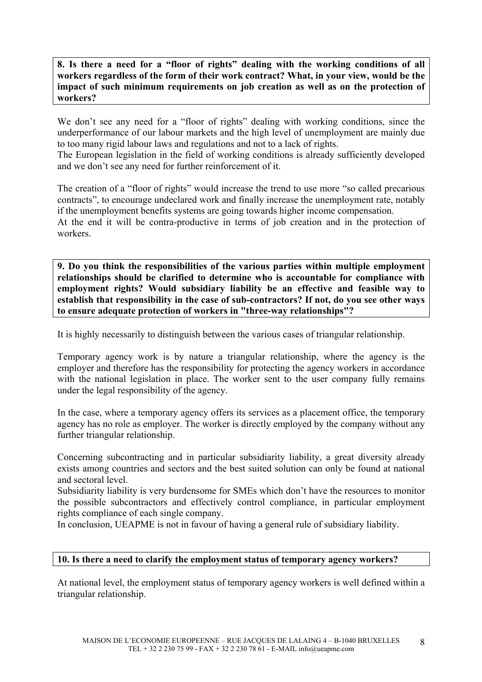**8. Is there a need for a "floor of rights" dealing with the working conditions of all workers regardless of the form of their work contract? What, in your view, would be the impact of such minimum requirements on job creation as well as on the protection of workers?** 

We don't see any need for a "floor of rights" dealing with working conditions, since the underperformance of our labour markets and the high level of unemployment are mainly due to too many rigid labour laws and regulations and not to a lack of rights.

The European legislation in the field of working conditions is already sufficiently developed and we don't see any need for further reinforcement of it.

The creation of a "floor of rights" would increase the trend to use more "so called precarious contracts", to encourage undeclared work and finally increase the unemployment rate, notably if the unemployment benefits systems are going towards higher income compensation. At the end it will be contra-productive in terms of job creation and in the protection of workers.

**9. Do you think the responsibilities of the various parties within multiple employment relationships should be clarified to determine who is accountable for compliance with employment rights? Would subsidiary liability be an effective and feasible way to establish that responsibility in the case of sub-contractors? If not, do you see other ways to ensure adequate protection of workers in "three-way relationships"?** 

It is highly necessarily to distinguish between the various cases of triangular relationship.

Temporary agency work is by nature a triangular relationship, where the agency is the employer and therefore has the responsibility for protecting the agency workers in accordance with the national legislation in place. The worker sent to the user company fully remains under the legal responsibility of the agency.

In the case, where a temporary agency offers its services as a placement office, the temporary agency has no role as employer. The worker is directly employed by the company without any further triangular relationship.

Concerning subcontracting and in particular subsidiarity liability, a great diversity already exists among countries and sectors and the best suited solution can only be found at national and sectoral level.

Subsidiarity liability is very burdensome for SMEs which don't have the resources to monitor the possible subcontractors and effectively control compliance, in particular employment rights compliance of each single company.

In conclusion, UEAPME is not in favour of having a general rule of subsidiary liability.

#### **10. Is there a need to clarify the employment status of temporary agency workers?**

At national level, the employment status of temporary agency workers is well defined within a triangular relationship.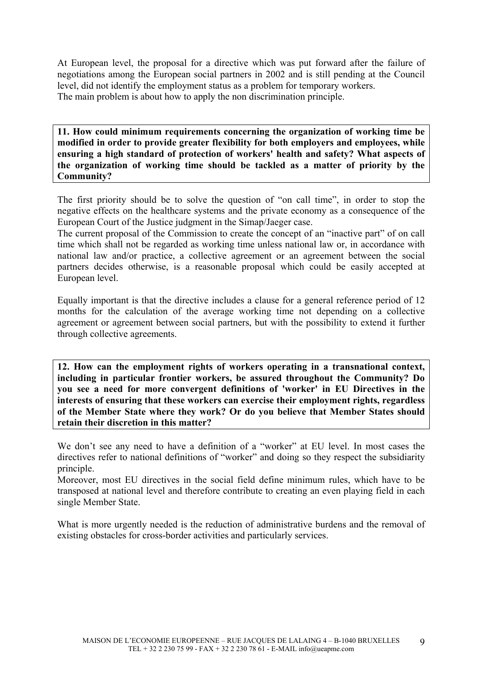At European level, the proposal for a directive which was put forward after the failure of negotiations among the European social partners in 2002 and is still pending at the Council level, did not identify the employment status as a problem for temporary workers. The main problem is about how to apply the non discrimination principle.

**11. How could minimum requirements concerning the organization of working time be modified in order to provide greater flexibility for both employers and employees, while ensuring a high standard of protection of workers' health and safety? What aspects of the organization of working time should be tackled as a matter of priority by the Community?** 

The first priority should be to solve the question of "on call time", in order to stop the negative effects on the healthcare systems and the private economy as a consequence of the European Court of the Justice judgment in the Simap/Jaeger case.

The current proposal of the Commission to create the concept of an "inactive part" of on call time which shall not be regarded as working time unless national law or, in accordance with national law and/or practice, a collective agreement or an agreement between the social partners decides otherwise, is a reasonable proposal which could be easily accepted at European level.

Equally important is that the directive includes a clause for a general reference period of 12 months for the calculation of the average working time not depending on a collective agreement or agreement between social partners, but with the possibility to extend it further through collective agreements.

**12. How can the employment rights of workers operating in a transnational context, including in particular frontier workers, be assured throughout the Community? Do you see a need for more convergent definitions of 'worker' in EU Directives in the interests of ensuring that these workers can exercise their employment rights, regardless of the Member State where they work? Or do you believe that Member States should retain their discretion in this matter?** 

We don't see any need to have a definition of a "worker" at EU level. In most cases the directives refer to national definitions of "worker" and doing so they respect the subsidiarity principle.

Moreover, most EU directives in the social field define minimum rules, which have to be transposed at national level and therefore contribute to creating an even playing field in each single Member State.

What is more urgently needed is the reduction of administrative burdens and the removal of existing obstacles for cross-border activities and particularly services.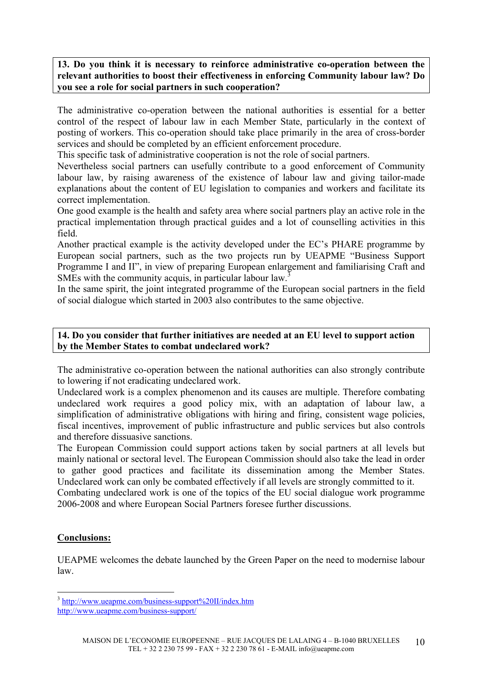## **13. Do you think it is necessary to reinforce administrative co-operation between the relevant authorities to boost their effectiveness in enforcing Community labour law? Do you see a role for social partners in such cooperation?**

The administrative co-operation between the national authorities is essential for a better control of the respect of labour law in each Member State, particularly in the context of posting of workers. This co-operation should take place primarily in the area of cross-border services and should be completed by an efficient enforcement procedure.

This specific task of administrative cooperation is not the role of social partners.

Nevertheless social partners can usefully contribute to a good enforcement of Community labour law, by raising awareness of the existence of labour law and giving tailor-made explanations about the content of EU legislation to companies and workers and facilitate its correct implementation.

One good example is the health and safety area where social partners play an active role in the practical implementation through practical guides and a lot of counselling activities in this field.

Another practical example is the activity developed under the EC's PHARE programme by European social partners, such as the two projects run by UEAPME "Business Support Programme I and II", in view of preparing European enlargement and familiarising Craft and SMEs with the community acquis, in particular labour law.<sup>3</sup>

In the same spirit, the joint integrated programme of the European social partners in the field of social dialogue which started in 2003 also contributes to the same objective.

## **14. Do you consider that further initiatives are needed at an EU level to support action by the Member States to combat undeclared work?**

The administrative co-operation between the national authorities can also strongly contribute to lowering if not eradicating undeclared work.

Undeclared work is a complex phenomenon and its causes are multiple. Therefore combating undeclared work requires a good policy mix, with an adaptation of labour law, a simplification of administrative obligations with hiring and firing, consistent wage policies, fiscal incentives, improvement of public infrastructure and public services but also controls and therefore dissuasive sanctions.

The European Commission could support actions taken by social partners at all levels but mainly national or sectoral level. The European Commission should also take the lead in order to gather good practices and facilitate its dissemination among the Member States. Undeclared work can only be combated effectively if all levels are strongly committed to it.

Combating undeclared work is one of the topics of the EU social dialogue work programme 2006-2008 and where European Social Partners foresee further discussions.

# **Conclusions:**

1

UEAPME welcomes the debate launched by the Green Paper on the need to modernise labour law.

<sup>&</sup>lt;sup>3</sup> http://www.ueapme.com/business-support%20II/index.htm

http://www.ueapme.com/business-support/